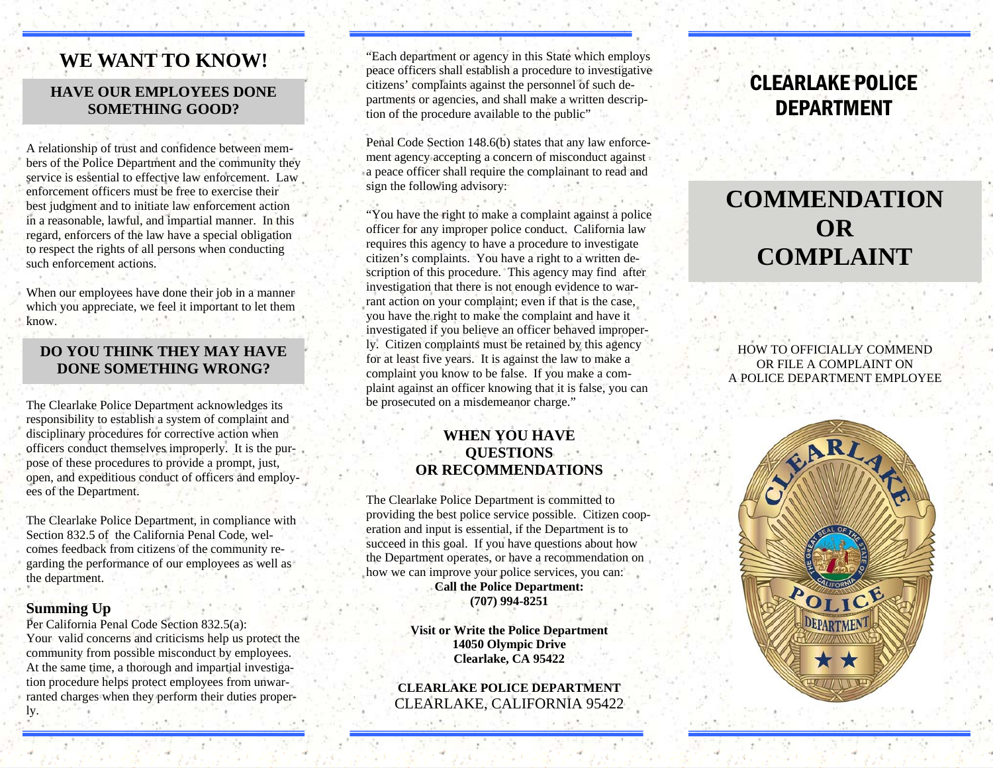# **WE WANT TO KNOW!**

### **HAVE OUR EMPLOYEES DONE SOMETHING GOOD?**

A relationship of trust and confidence between members of the Police Department and the community they service is essential to effective law enforcement. Law enforcement officers must be free to exercise their best judgment and to initiate law enforcement action in a reasonable, lawful, and impartial manner. In this regard, enforcers of the law have a special obligation to respect the rights of all persons when conducting such enforcement actions.

When our employees have done their job in a manner which you appreciate, we feel it important to let them know.

### **DO YOU THINK THEY MAY HAVE DONE SOMETHING WRONG?**

The Clearlake Police Department acknowledges its responsibility to establish a system of complaint and disciplinary procedures for corrective action when officers conduct themselves improperly. It is the purpose of these procedures to provide a prompt, just, open, and expeditious conduct of officers and employees of the Department.

The Clearlake Police Department, in compliance with Section 832.5 of the California Penal Code, welcomes feedback from citizens of the community regarding the performance of our employees as well as the department.

#### **Summing Up**

Per California Penal Code Section 832.5(a): Your valid concerns and criticisms help us protect the community from possible misconduct by employees. At the same time, a thorough and impartial investigation procedure helps protect employees from unwarranted charges when they perform their duties properly.

"Each department or agency in this State which employs peace officers shall establish a procedure to investigative citizens' complaints against the personnel of such departments or agencies, and shall make a written description of the procedure available to the public"

Penal Code Section 148.6(b) states that any law enforcement agency accepting a concern of misconduct against a peace officer shall require the complainant to read and sign the following advisory:

"You have the right to make a complaint against a police officer for any improper police conduct. California law requires this agency to have a procedure to investigate citizen's complaints. You have a right to a written description of this procedure. This agency may find after investigation that there is not enough evidence to warrant action on your complaint; even if that is the case, you have the right to make the complaint and have it investigated if you believe an officer behaved improperly. Citizen complaints must be retained by this agency for at least five years. It is against the law to make a complaint you know to be false. If you make a complaint against an officer knowing that it is false, you can be prosecuted on a misdemeanor charge."

### **WHEN YOU HAVE QUESTIONS OR RECOMMENDATIONS**

The Clearlake Police Department is committed to providing the best police service possible. Citizen cooperation and input is essential, if the Department is to succeed in this goal. If you have questions about how the Department operates, or have a recommendation on how we can improve your police services, you can: **Call the Police Department: (707) 994-8251** 

> **Visit or Write the Police Department 14050 Olympic Drive Clearlake, CA 95422**

**CLEARLAKE POLICE DEPARTMENT**CLEARLAKE, CALIFORNIA 95422

# CLEARLAKE POLICE DEPARTMENT

# **COMMENDATION OR COMPLAINT**

HOW TO OFFICIALLY COMMEND OR FILE A COMPLAINT ON A POLICE DEPARTMENT EMPLOYEE